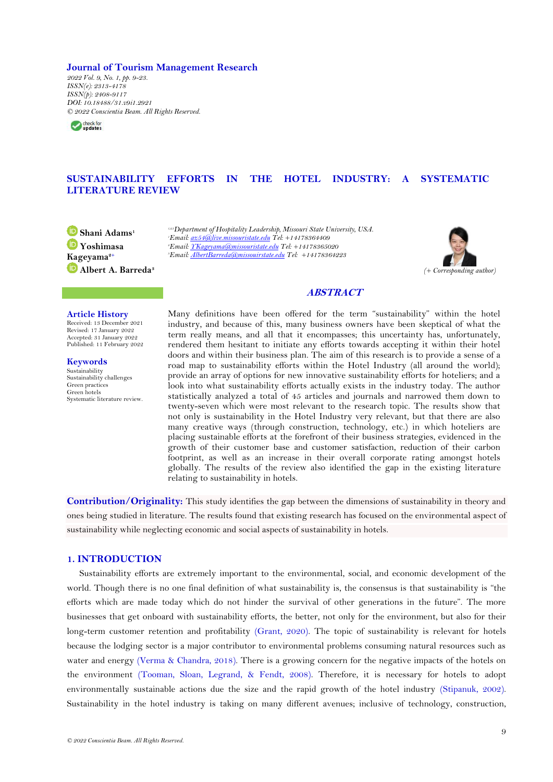### **Journal of Tourism Management Research**

*2022 Vol. 9, No. 1, pp. 9-23. ISSN(e): 2313-4178 ISSN(p): 2408-9117 DOI: 10.18488/31.v9i1.2921 © 2022 Conscientia Beam. All Rights Reserved.*



# **SUSTAINABILITY EFFORTS IN THE HOTEL INDUSTRY: A SYSTEMATIC LITERATURE REVIEW**

**Shani Adams<sup>1</sup> Yoshimasa [Kag](https://orcid.org/0000-0003-1578-199X)eyama2+ Albert A. Barreda<sup>3</sup>**

*1,2,3Department of Hospitality Leadership, Missouri State University, USA. Email: [az54@live.missouristate.edu](mailto:az54@live.missouristate.edu) Tel: +14178364409 Email: [YKageyama@missouristate.edu](mailto:YKageyama@missouristate.edu) Tel: +14178365020 Email[: AlbertBarreda@missouirstate.edu](mailto:AlbertBarreda@missouirstate.edu) Tel: +14178364223*



# **ABSTRACT**

### **Article History**

Received: 13 December 2021 Revised: 17 January 2022 Accepted: 31 January 2022 Published: 11 February 2022

**Keywords** Sustainability Sustainability challenges Green practices Green hotels Systematic literature review. Many definitions have been offered for the term "sustainability" within the hotel industry, and because of this, many business owners have been skeptical of what the term really means, and all that it encompasses; this uncertainty has, unfortunately, rendered them hesitant to initiate any efforts towards accepting it within their hotel doors and within their business plan. The aim of this research is to provide a sense of a road map to sustainability efforts within the Hotel Industry (all around the world); provide an array of options for new innovative sustainability efforts for hoteliers; and a look into what sustainability efforts actually exists in the industry today. The author statistically analyzed a total of 45 articles and journals and narrowed them down to twenty-seven which were most relevant to the research topic. The results show that not only is sustainability in the Hotel Industry very relevant, but that there are also many creative ways (through construction, technology, etc.) in which hoteliers are placing sustainable efforts at the forefront of their business strategies, evidenced in the growth of their customer base and customer satisfaction, reduction of their carbon footprint, as well as an increase in their overall corporate rating amongst hotels globally. The results of the review also identified the gap in the existing literature relating to sustainability in hotels.

**Contribution/Originality:** This study identifies the gap between the dimensions of sustainability in theory and ones being studied in literature. The results found that existing research has focused on the environmental aspect of sustainability while neglecting economic and social aspects of sustainability in hotels.

# **1. INTRODUCTION**

Sustainability efforts are extremely important to the environmental, social, and economic development of the world. Though there is no one final definition of what sustainability is, the consensus is that sustainability is "the efforts which are made today which do not hinder the survival of other generations in the future". The more businesses that get onboard with sustainability efforts, the better, not only for the environment, but also for their long-term customer retention and profitability [\(Grant, 2020\)](#page-13-0). The topic of sustainability is relevant for hotels because the lodging sector is a major contributor to environmental problems consuming natural resources such as water and energy [\(Verma & Chandra, 2018\)](#page-14-0). There is a growing concern for the negative impacts of the hotels on the environment [\(Tooman, Sloan, Legrand, & Fendt, 2008\)](#page-14-1). Therefore, it is necessary for hotels to adopt environmentally sustainable actions due the size and the rapid growth of the hotel industry [\(Stipanuk, 2002\)](#page-14-2). Sustainability in the hotel industry is taking on many different avenues; inclusive of technology, construction,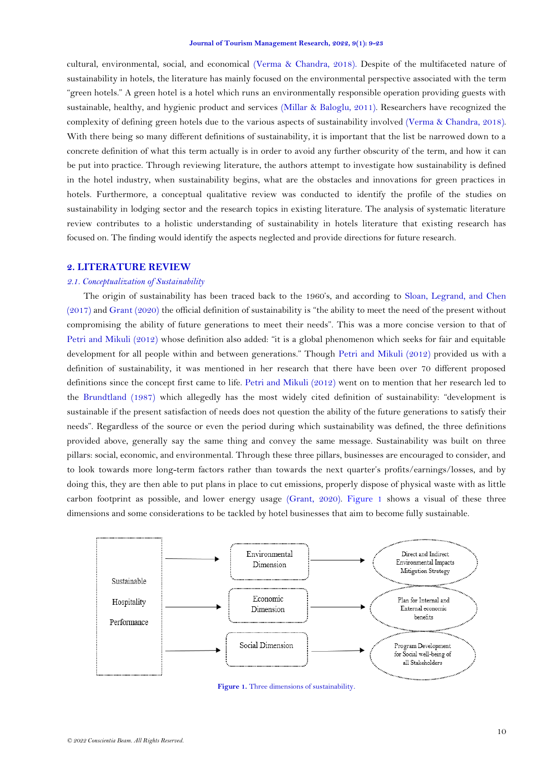cultural, environmental, social, and economical [\(Verma & Chandra, 2018\)](#page-14-0). Despite of the multifaceted nature of sustainability in hotels, the literature has mainly focused on the environmental perspective associated with the term "green hotels." A green hotel is a hotel which runs an environmentally responsible operation providing guests with sustainable, healthy, and hygienic product and services [\(Millar & Baloglu, 2011\)](#page-13-1). Researchers have recognized the complexity of defining green hotels due to the various aspects of sustainability involved [\(Verma & Chandra, 2018\)](#page-14-0). With there being so many different definitions of sustainability, it is important that the list be narrowed down to a concrete definition of what this term actually is in order to avoid any further obscurity of the term, and how it can be put into practice. Through reviewing literature, the authors attempt to investigate how sustainability is defined in the hotel industry, when sustainability begins, what are the obstacles and innovations for green practices in hotels. Furthermore, a conceptual qualitative review was conducted to identify the profile of the studies on sustainability in lodging sector and the research topics in existing literature. The analysis of systematic literature review contributes to a holistic understanding of sustainability in hotels literature that existing research has focused on. The finding would identify the aspects neglected and provide directions for future research.

# **2. LITERATURE REVIEW**

### *2.1. Conceptualization of Sustainability*

The origin of sustainability has been traced back to the 1960's, and according to [Sloan, Legrand, and Chen](#page-14-3)  [\(2017\)](#page-14-3) and [Grant \(2020\)](#page-13-0) the official definition of sustainability is "the ability to meet the need of the present without compromising the ability of future generations to meet their needs". This was a more concise version to that of [Petri and Mikuli \(2012\)](#page-13-2) whose definition also added: "it is a global phenomenon which seeks for fair and equitable development for all people within and between generations." Though [Petri and Mikuli \(2012\)](#page-13-2) provided us with a definition of sustainability, it was mentioned in her research that there have been over 70 different proposed definitions since the concept first came to life. [Petri and Mikuli \(2012\)](#page-13-2) went on to mention that her research led to the [Brundtland \(1987\)](#page-13-3) which allegedly has the most widely cited definition of sustainability: "development is sustainable if the present satisfaction of needs does not question the ability of the future generations to satisfy their needs". Regardless of the source or even the period during which sustainability was defined, the three definitions provided above, generally say the same thing and convey the same message. Sustainability was built on three pillars: social, economic, and environmental. Through these three pillars, businesses are encouraged to consider, and to look towards more long-term factors rather than towards the next quarter's profits/earnings/losses, and by doing this, they are then able to put plans in place to cut emissions, properly dispose of physical waste with as little carbon footprint as possible, and lower energy usage [\(Grant, 2020\)](#page-13-0). [Figure 1](#page-1-0) shows a visual of these three dimensions and some considerations to be tackled by hotel businesses that aim to become fully sustainable.

<span id="page-1-0"></span>

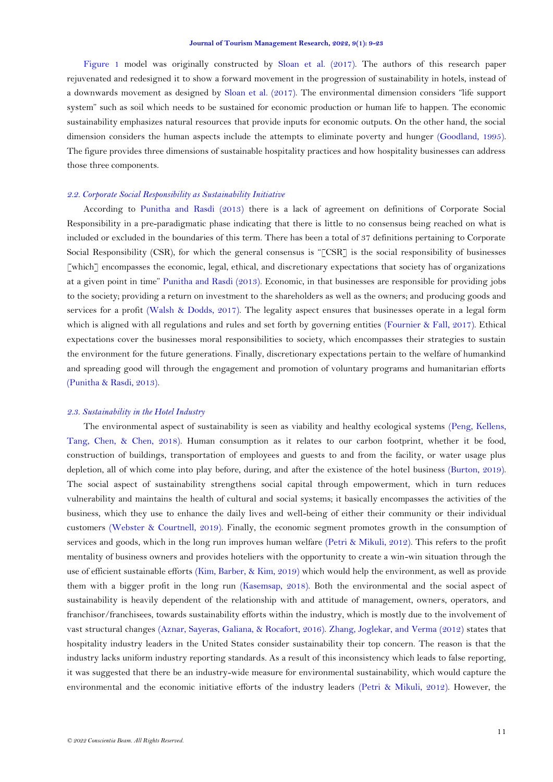[Figure 1](#page-1-0) model was originally constructed by [Sloan et al. \(2017\)](#page-14-3). The authors of this research paper rejuvenated and redesigned it to show a forward movement in the progression of sustainability in hotels, instead of a downwards movement as designed by [Sloan et al. \(2017\)](#page-14-3). The environmental dimension considers "life support system" such as soil which needs to be sustained for economic production or human life to happen. The economic sustainability emphasizes natural resources that provide inputs for economic outputs. On the other hand, the social dimension considers the human aspects include the attempts to eliminate poverty and hunger [\(Goodland, 1995\)](#page-13-4). The figure provides three dimensions of sustainable hospitality practices and how hospitality businesses can address those three components.

## *2.2. Corporate Social Responsibility as Sustainability Initiative*

According to [Punitha and Rasdi \(2013\)](#page-13-5) there is a lack of agreement on definitions of Corporate Social Responsibility in a pre-paradigmatic phase indicating that there is little to no consensus being reached on what is included or excluded in the boundaries of this term. There has been a total of 37 definitions pertaining to Corporate Social Responsibility (CSR), for which the general consensus is "[CSR] is the social responsibility of businesses [which] encompasses the economic, legal, ethical, and discretionary expectations that society has of organizations at a given point in time" [Punitha and Rasdi \(2013\)](#page-13-5). Economic, in that businesses are responsible for providing jobs to the society; providing a return on investment to the shareholders as well as the owners; and producing goods and services for a profit [\(Walsh & Dodds, 2017\)](#page-14-4). The legality aspect ensures that businesses operate in a legal form which is aligned with all regulations and rules and set forth by governing entities [\(Fournier & Fall, 2017\)](#page-13-6). Ethical expectations cover the businesses moral responsibilities to society, which encompasses their strategies to sustain the environment for the future generations. Finally, discretionary expectations pertain to the welfare of humankind and spreading good will through the engagement and promotion of voluntary programs and humanitarian efforts [\(Punitha & Rasdi, 2013\)](#page-13-5).

### *2.3. Sustainability in the Hotel Industry*

The environmental aspect of sustainability is seen as viability and healthy ecological systems [\(Peng, Kellens,](#page-13-7)  [Tang, Chen, & Chen, 2018\)](#page-13-7). Human consumption as it relates to our carbon footprint, whether it be food, construction of buildings, transportation of employees and guests to and from the facility, or water usage plus depletion, all of which come into play before, during, and after the existence of the hotel business [\(Burton, 2019\)](#page-13-8). The social aspect of sustainability strengthens social capital through empowerment, which in turn reduces vulnerability and maintains the health of cultural and social systems; it basically encompasses the activities of the business, which they use to enhance the daily lives and well-being of either their community or their individual customers [\(Webster & Courtnell, 2019\)](#page-14-5). Finally, the economic segment promotes growth in the consumption of services and goods, which in the long run improves human welfare [\(Petri & Mikuli, 2012\)](#page-13-2). This refers to the profit mentality of business owners and provides hoteliers with the opportunity to create a win-win situation through the use of efficient sustainable efforts [\(Kim, Barber, & Kim, 2019\)](#page-13-9) which would help the environment, as well as provide them with a bigger profit in the long run [\(Kasemsap, 2018\)](#page-13-10). Both the environmental and the social aspect of sustainability is heavily dependent of the relationship with and attitude of management, owners, operators, and franchisor/franchisees, towards sustainability efforts within the industry, which is mostly due to the involvement of vast structural changes [\(Aznar, Sayeras, Galiana, & Rocafort, 2016\)](#page-12-0). [Zhang, Joglekar, and Verma \(2012\)](#page-14-6) states that hospitality industry leaders in the United States consider sustainability their top concern. The reason is that the industry lacks uniform industry reporting standards. As a result of this inconsistency which leads to false reporting, it was suggested that there be an industry-wide measure for environmental sustainability, which would capture the environmental and the economic initiative efforts of the industry leaders (Petri & [Mikuli, 2012\)](#page-13-2). However, the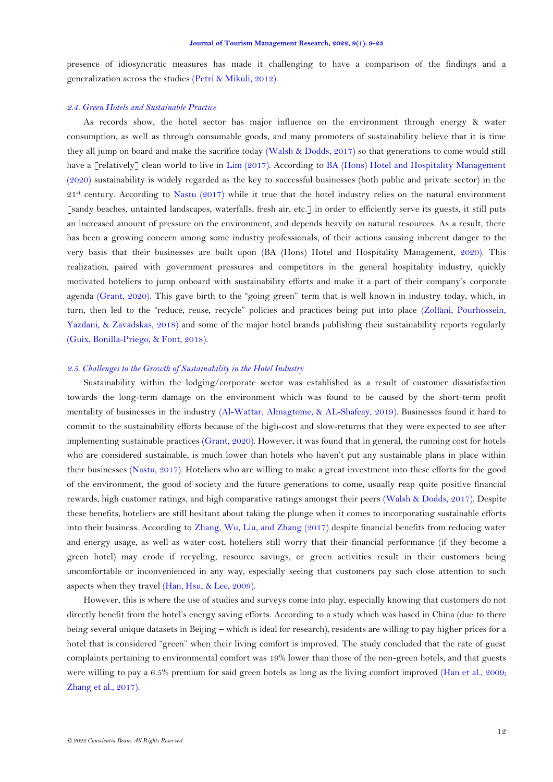presence of idiosyncratic measures has made it challenging to have a comparison of the findings and a generalization across the studies [\(Petri & Mikuli, 2012\)](#page-13-2).

# *2.4. Green Hotels and Sustainable Practice*

As records show, the hotel sector has major influence on the environment through energy & water consumption, as well as through consumable goods, and many promoters of sustainability believe that it is time they all jump on board and make the sacrifice today [\(Walsh & Dodds, 2017\)](#page-14-4) so that generations to come would still have a [relatively] clean world to live in [Lim \(2017\)](#page-13-11). According to BA (Hons) Hotel and Hospitality Management [\(2020\)](#page-12-1) sustainability is widely regarded as the key to successful businesses (both public and private sector) in the  $21<sup>st</sup>$  century. According to [Nastu \(2017\)](#page-13-12) while it true that the hotel industry relies on the natural environment [sandy beaches, untainted landscapes, waterfalls, fresh air, etc.] in order to efficiently serve its guests, it still puts an increased amount of pressure on the environment, and depends heavily on natural resources. As a result, there has been a growing concern among some industry professionals, of their actions causing inherent danger to the very basis that their businesses are built upon [\(BA \(Hons\) Hotel and Hospitality Management,](#page-12-1) 2020). This realization, paired with government pressures and competitors in the general hospitality industry, quickly motivated hoteliers to jump onboard with sustainability efforts and make it a part of their company's corporate agenda [\(Grant, 2020\)](#page-13-0). This gave birth to the "going green" term that is well known in industry today, which, in turn, then led to the "reduce, reuse, recycle" policies and practices being put into place [\(Zolfani, Pourhossein,](#page-14-7)  [Yazdani, & Zavadskas, 2018\)](#page-14-7) and some of the major hotel brands publishing their sustainability reports regularly [\(Guix, Bonilla-Priego, & Font, 2018\)](#page-13-13).

# *2.5. Challenges to the Growth of Sustainability in the Hotel Industry*

Sustainability within the lodging/corporate sector was established as a result of customer dissatisfaction towards the long-term damage on the environment which was found to be caused by the short-term profit mentality of businesses in the industry [\(Al-Wattar, Almagtome, & AL-Shafeay, 2019\)](#page-12-2). Businesses found it hard to commit to the sustainability efforts because of the high-cost and slow-returns that they were expected to see after implementing sustainable practices [\(Grant, 2020\)](#page-13-0). However, it was found that in general, the running cost for hotels who are considered sustainable, is much lower than hotels who haven't put any sustainable plans in place within their businesses [\(Nastu, 2017\)](#page-13-12). Hoteliers who are willing to make a great investment into these efforts for the good of the environment, the good of society and the future generations to come, usually reap quite positive financial rewards, high customer ratings, and high comparative ratings amongst their peers [\(Walsh & Dodds, 2017\)](#page-14-4). Despite these benefits, hoteliers are still hesitant about taking the plunge when it comes to incorporating sustainable efforts into their business. According to [Zhang, Wu, Liu, and Zhang \(2017\)](#page-14-8) despite financial benefits from reducing water and energy usage, as well as water cost, hoteliers still worry that their financial performance (if they become a green hotel) may erode if recycling, resource savings, or green activities result in their customers being uncomfortable or inconvenienced in any way, especially seeing that customers pay such close attention to such aspects when they travel [\(Han, Hsu, & Lee, 2009\)](#page-13-14).

However, this is where the use of studies and surveys come into play, especially knowing that customers do not directly benefit from the hotel's energy saving efforts. According to a study which was based in China (due to there being several unique datasets in Beijing – which is ideal for research), residents are willing to pay higher prices for a hotel that is considered "green" when their living comfort is improved. The study concluded that the rate of guest complaints pertaining to environmental comfort was 19% lower than those of the non-green hotels, and that guests were willing to pay a 6.5% premium for said green hotels as long as the living comfort improved [\(Han et al., 2009;](#page-13-14) Zhang [et al., 2017\)](#page-14-8).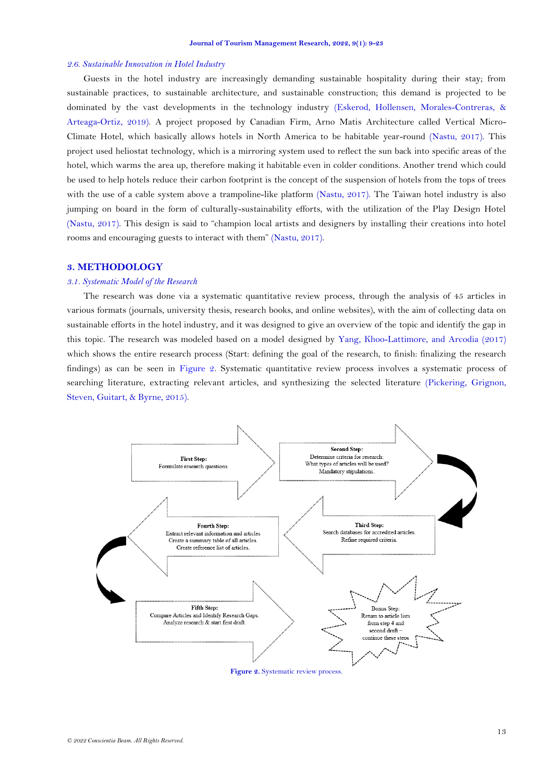### *2.6. Sustainable Innovation in Hotel Industry*

Guests in the hotel industry are increasingly demanding sustainable hospitality during their stay; from sustainable practices, to sustainable architecture, and sustainable construction; this demand is projected to be dominated by the vast developments in the technology industry [\(Eskerod, Hollensen, Morales-Contreras,](#page-13-15) & [Arteaga-Ortiz, 2019\)](#page-13-15). A project proposed by Canadian Firm, Arno Matis Architecture called Vertical Micro-Climate Hotel, which basically allows hotels in North America to be habitable year-round [\(Nastu, 2017\)](#page-13-12). This project used heliostat technology, which is a mirroring system used to reflect the sun back into specific areas of the hotel, which warms the area up, therefore making it habitable even in colder conditions. Another trend which could be used to help hotels reduce their carbon footprint is the concept of the suspension of hotels from the tops of trees with the use of a cable system above a trampoline-like platform [\(Nastu, 2017\)](#page-13-12). The Taiwan hotel industry is also jumping on board in the form of culturally-sustainability efforts, with the utilization of the Play Design Hotel [\(Nastu, 2017\)](#page-13-12). This design is said to "champion local artists and designers by installing their creations into hotel rooms and encouraging guests to interact with them" [\(Nastu, 2017\)](#page-13-12).

# **3. METHODOLOGY**

### *3.1. Systematic Model of the Research*

The research was done via a systematic quantitative review process, through the analysis of 45 articles in various formats (journals, university thesis, research books, and online websites), with the aim of collecting data on sustainable efforts in the hotel industry, and it was designed to give an overview of the topic and identify the gap in this topic. The research was modeled based on a model designed by [Yang, Khoo-Lattimore, and Arcodia \(2017\)](#page-14-9) which shows the entire research process (Start: defining the goal of the research, to finish: finalizing the research findings) as can be seen in [Figure 2.](#page-4-0) Systematic quantitative review process involves a systematic process of searching literature, extracting relevant articles, and synthesizing the selected literature [\(Pickering, Grignon,](#page-13-16)  [Steven, Guitart, & Byrne, 2015\)](#page-13-16).



<span id="page-4-0"></span>Figure 2. Systematic review process.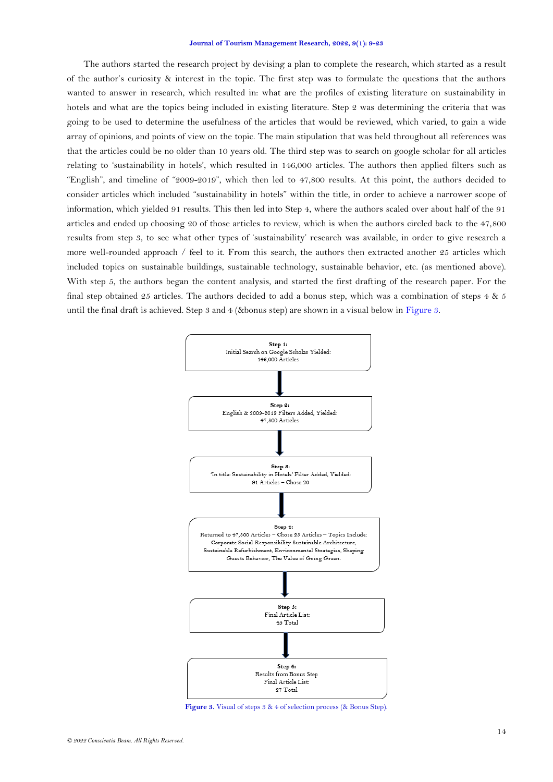The authors started the research project by devising a plan to complete the research, which started as a result of the author's curiosity & interest in the topic. The first step was to formulate the questions that the authors wanted to answer in research, which resulted in: what are the profiles of existing literature on sustainability in hotels and what are the topics being included in existing literature. Step 2 was determining the criteria that was going to be used to determine the usefulness of the articles that would be reviewed, which varied, to gain a wide array of opinions, and points of view on the topic. The main stipulation that was held throughout all references was that the articles could be no older than 10 years old. The third step was to search on google scholar for all articles relating to 'sustainability in hotels', which resulted in 146,000 articles. The authors then applied filters such as "English", and timeline of "2009-2019", which then led to 47,800 results. At this point, the authors decided to consider articles which included "sustainability in hotels" within the title, in order to achieve a narrower scope of information, which yielded 91 results. This then led into Step 4, where the authors scaled over about half of the 91 articles and ended up choosing 20 of those articles to review, which is when the authors circled back to the 47,800 results from step 3, to see what other types of 'sustainability' research was available, in order to give research a more well-rounded approach / feel to it. From this search, the authors then extracted another 25 articles which included topics on sustainable buildings, sustainable technology, sustainable behavior, etc. (as mentioned above). With step 5, the authors began the content analysis, and started the first drafting of the research paper. For the final step obtained 25 articles. The authors decided to add a bonus step, which was a combination of steps  $4 \& 5$ until the final draft is achieved. Step 3 and 4 (&bonus step) are shown in a visual below in [Figure 3.](#page-5-0)



<span id="page-5-0"></span>Figure 3. Visual of steps 3 & 4 of selection process (& Bonus Step).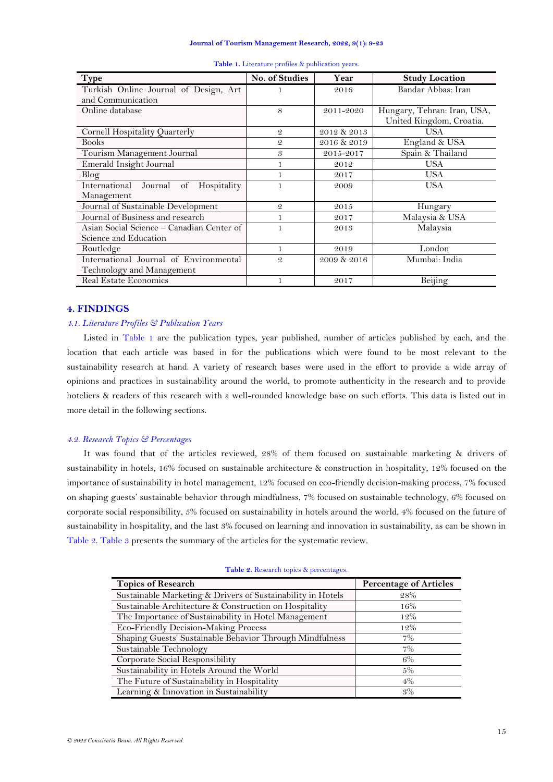<span id="page-6-0"></span>

| <b>Type</b>                                                         | <b>No. of Studies</b> | Year        | <b>Study Location</b>                                   |
|---------------------------------------------------------------------|-----------------------|-------------|---------------------------------------------------------|
| Turkish Online Journal of Design, Art<br>and Communication          |                       | 2016        | Bandar Abbas: Iran                                      |
| Online database                                                     | 8                     | 2011-2020   | Hungary, Tehran: Iran, USA,<br>United Kingdom, Croatia. |
| Cornell Hospitality Quarterly                                       | $\mathfrak{D}$        | 2012 & 2013 | USA                                                     |
| <b>Books</b>                                                        | $\mathcal{Q}$         | 2016 & 2019 | England & USA                                           |
| Tourism Management Journal                                          | 3                     | 2015-2017   | Spain & Thailand                                        |
| Emerald Insight Journal                                             | 1                     | 2012        | USA                                                     |
| Blog                                                                |                       | 2017        | <b>USA</b>                                              |
| International<br>Journal of Hospitality<br>Management               |                       | 2009        | <b>USA</b>                                              |
| Journal of Sustainable Development                                  | $\mathcal{Q}$         | 2015        | Hungary                                                 |
| Journal of Business and research                                    |                       | 2017        | Malaysia & USA                                          |
| Asian Social Science - Canadian Center of<br>Science and Education  |                       | 2013        | Malaysia                                                |
| Routledge                                                           | 1                     | 2019        | London                                                  |
| International Journal of Environmental<br>Technology and Management | $\mathcal{Q}$         | 2009 & 2016 | Mumbai: India                                           |
| Real Estate Economics                                               |                       | 2017        | Beijing                                                 |

**Table 1.** Literature profiles & publication years.

# **4. FINDINGS**

# *4.1. Literature Profiles & Publication Years*

Listed in [Table 1](#page-6-0) are the publication types, year published, number of articles published by each, and the location that each article was based in for the publications which were found to be most relevant to the sustainability research at hand. A variety of research bases were used in the effort to provide a wide array of opinions and practices in sustainability around the world, to promote authenticity in the research and to provide hoteliers & readers of this research with a well-rounded knowledge base on such efforts. This data is listed out in more detail in the following sections.

### *4.2. Research Topics & Percentages*

It was found that of the articles reviewed, 28% of them focused on sustainable marketing & drivers of sustainability in hotels, 16% focused on sustainable architecture & construction in hospitality, 12% focused on the importance of sustainability in hotel management, 12% focused on eco-friendly decision-making process, 7% focused on shaping guests' sustainable behavior through mindfulness, 7% focused on sustainable technology, 6% focused on corporate social responsibility, 5% focused on sustainability in hotels around the world, 4% focused on the future of sustainability in hospitality, and the last 3% focused on learning and innovation in sustainability, as can be shown in [Table 2.](#page-6-1) [Table 3](#page-5-0) presents the summary of the articles for the systematic review.

<span id="page-6-1"></span>

| <b>Topics of Research</b>                                   | <b>Percentage of Articles</b> |
|-------------------------------------------------------------|-------------------------------|
| Sustainable Marketing & Drivers of Sustainability in Hotels | 28%                           |
| Sustainable Architecture & Construction on Hospitality      | 16%                           |
| The Importance of Sustainability in Hotel Management        | $12\%$                        |
| Eco-Friendly Decision-Making Process                        | 12%                           |
| Shaping Guests' Sustainable Behavior Through Mindfulness    | $7\%$                         |
| Sustainable Technology                                      | 7%                            |
| Corporate Social Responsibility                             | 6%                            |
| Sustainability in Hotels Around the World                   | $5\%$                         |
| The Future of Sustainability in Hospitality                 | $4\%$                         |
| Learning & Innovation in Sustainability                     | 3%                            |

**Table 2.** Research topics & percentages.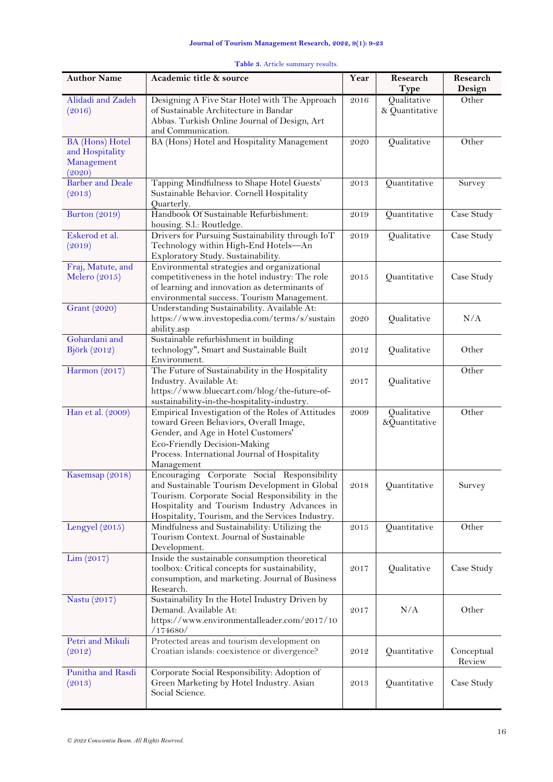| <b>Author Name</b>                                                | Academic title & source                                                                                                                                                                                                                             | Year | Research<br><b>Type</b>       | Research<br>Design   |
|-------------------------------------------------------------------|-----------------------------------------------------------------------------------------------------------------------------------------------------------------------------------------------------------------------------------------------------|------|-------------------------------|----------------------|
| Alidadi and Zadeh<br>(2016)                                       | Designing A Five Star Hotel with The Approach<br>of Sustainable Architecture in Bandar<br>Abbas. Turkish Online Journal of Design, Art<br>and Communication.                                                                                        | 2016 | Qualitative<br>& Quantitative | Other                |
| <b>BA</b> (Hons) Hotel<br>and Hospitality<br>Management<br>(2020) | BA (Hons) Hotel and Hospitality Management                                                                                                                                                                                                          | 2020 | Qualitative                   | Other                |
| <b>Barber</b> and Deale<br>(2013)                                 | Tapping Mindfulness to Shape Hotel Guests'<br>Sustainable Behavior. Cornell Hospitality<br>Quarterly.                                                                                                                                               | 2013 | Quantitative                  | Survey               |
| <b>Burton</b> (2019)                                              | Handbook Of Sustainable Refurbishment:<br>housing. S.l.: Routledge.                                                                                                                                                                                 | 2019 | Quantitative                  | Case Study           |
| Eskerod et al.<br>(2019)                                          | Drivers for Pursuing Sustainability through IoT<br>Technology within High-End Hotels-An<br>Exploratory Study. Sustainability.                                                                                                                       | 2019 | Qualitative                   | Case Study           |
| Fraj, Matute, and<br>Melero $(2015)$                              | Environmental strategies and organizational<br>competitiveness in the hotel industry: The role<br>of learning and innovation as determinants of<br>environmental success. Tourism Management.                                                       | 2015 | Quantitative                  | Case Study           |
| <b>Grant</b> (2020)                                               | Understanding Sustainability. Available At:<br>https://www.investopedia.com/terms/s/sustain<br>ability.asp                                                                                                                                          | 2020 | Qualitative                   | N/A                  |
| Gohardani and<br>Björk (2012)                                     | Sustainable refurbishment in building<br>technology", Smart and Sustainable Built<br>Environment.                                                                                                                                                   | 2012 | Qualitative                   | Other                |
| Harmon (2017)                                                     | The Future of Sustainability in the Hospitality<br>Industry. Available At:<br>https://www.bluecart.com/blog/the-future-of-<br>sustainability-in-the-hospitality-industry.                                                                           | 2017 | Qualitative                   | Other                |
| Han et al. (2009)                                                 | Empirical Investigation of the Roles of Attitudes<br>toward Green Behaviors, Overall Image,<br>Gender, and Age in Hotel Customers'<br>Eco-Friendly Decision-Making<br>Process. International Journal of Hospitality<br>Management                   | 2009 | Qualitative<br>&Quantitative  | Other                |
| Kasemsap (2018)                                                   | Encouraging Corporate Social Responsibility<br>and Sustainable Tourism Development in Global<br>Tourism. Corporate Social Responsibility in the<br>Hospitality and Tourism Industry Advances in<br>Hospitality, Tourism, and the Services Industry. | 2018 | Quantitative                  | Survey               |
| Lengyel $(2015)$                                                  | Mindfulness and Sustainability: Utilizing the<br>Tourism Context. Journal of Sustainable<br>Development.                                                                                                                                            | 2015 | Quantitative                  | Other                |
| Lim (2017)                                                        | Inside the sustainable consumption theoretical<br>toolbox: Critical concepts for sustainability,<br>consumption, and marketing. Journal of Business<br>Research.                                                                                    | 2017 | Qualitative                   | Case Study           |
| Nastu (2017)                                                      | Sustainability In the Hotel Industry Driven by<br>Demand. Available At:<br>https://www.environmentalleader.com/2017/10<br>/174680/                                                                                                                  | 2017 | N/A                           | Other                |
| Petri and Mikuli<br>(2012)                                        | Protected areas and tourism development on<br>Croatian islands: coexistence or divergence?                                                                                                                                                          | 2012 | Quantitative                  | Conceptual<br>Review |
| Punitha and Rasdi<br>(2013)                                       | Corporate Social Responsibility: Adoption of<br>Green Marketing by Hotel Industry. Asian<br>Social Science.                                                                                                                                         | 2013 | Quantitative                  | Case Study           |

**Table 3.** Article summary results.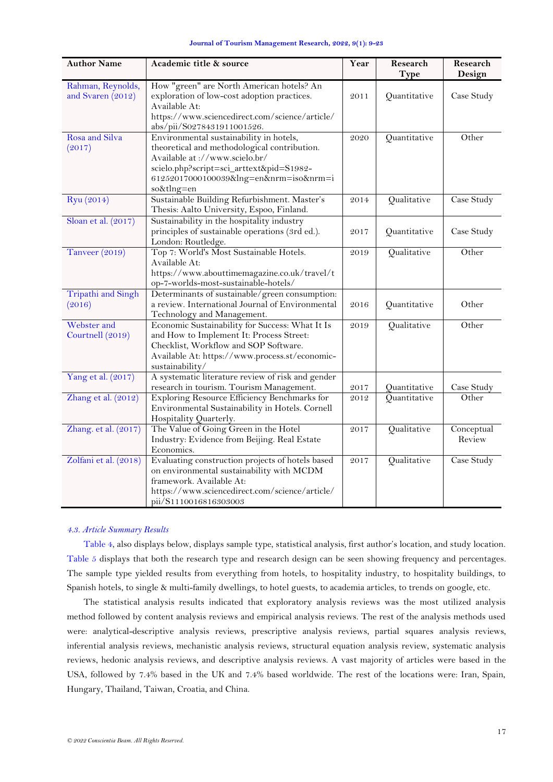| <b>Author Name</b>                     | Academic title & source                                                                                                                                                                                                      | Year | Research<br><b>Type</b> | Research<br>Design   |
|----------------------------------------|------------------------------------------------------------------------------------------------------------------------------------------------------------------------------------------------------------------------------|------|-------------------------|----------------------|
| Rahman, Reynolds,<br>and Svaren (2012) | How "green" are North American hotels? An<br>exploration of low-cost adoption practices.<br>Available At:<br>https://www.sciencedirect.com/science/article/<br>abs/pii/S0278431911001526.                                    | 2011 | Quantitative            | Case Study           |
| Rosa and Silva<br>(2017)               | Environmental sustainability in hotels,<br>theoretical and methodological contribution.<br>Available at://www.scielo.br/<br>scielo.php?script=sci_arttext&pid=S1982-<br>61252017000100039&lng=en&nrm=iso&nrm=i<br>so&tlng=en | 2020 | Quantitative            | Other                |
| Ryu (2014)                             | Sustainable Building Refurbishment. Master's<br>Thesis: Aalto University, Espoo, Finland.                                                                                                                                    | 2014 | Qualitative             | Case Study           |
| Sloan et al. (2017)                    | Sustainability in the hospitality industry<br>principles of sustainable operations (3rd ed.).<br>London: Routledge.                                                                                                          | 2017 | Quantitative            | Case Study           |
| Tanveer (2019)                         | Top 7: World's Most Sustainable Hotels.<br>Available At:<br>https://www.abouttimemagazine.co.uk/travel/t<br>op-7-worlds-most-sustainable-hotels/                                                                             | 2019 | Qualitative             | Other                |
| Tripathi and Singh<br>(2016)           | Determinants of sustainable/green consumption:<br>a review. International Journal of Environmental<br>Technology and Management.                                                                                             | 2016 | Quantitative            | Other                |
| Webster and<br>Courtnell (2019)        | Economic Sustainability for Success: What It Is<br>and How to Implement It: Process Street:<br>Checklist, Workflow and SOP Software.<br>Available At: https://www.process.st/economic-<br>sustainability/                    | 2019 | Qualitative             | Other                |
| Yang et al. (2017)                     | A systematic literature review of risk and gender<br>research in tourism. Tourism Management.                                                                                                                                | 2017 | Quantitative            | Case Study           |
| Zhang et al. (2012)                    | Exploring Resource Efficiency Benchmarks for<br>Environmental Sustainability in Hotels. Cornell<br>Hospitality Quarterly.                                                                                                    | 2012 | Quantitative            | Other                |
| Zhang. et al. (2017)                   | The Value of Going Green in the Hotel<br>Industry: Evidence from Beijing. Real Estate<br>Economics.                                                                                                                          | 2017 | Qualitative             | Conceptual<br>Review |
| Zolfani et al. (2018)                  | Evaluating construction projects of hotels based<br>on environmental sustainability with MCDM<br>framework. Available At:<br>https://www.sciencedirect.com/science/article/<br>pii/S1110016816303003                         | 2017 | Qualitative             | Case Study           |

## *4.3. Article Summary Results*

[Table 4](#page-9-0), also displays below, displays sample type, statistical analysis, first author's location, and study location. [Table 5](#page-9-1) displays that both the research type and research design can be seen showing frequency and percentages. The sample type yielded results from everything from hotels, to hospitality industry, to hospitality buildings, to Spanish hotels, to single & multi-family dwellings, to hotel guests, to academia articles, to trends on google, etc.

The statistical analysis results indicated that exploratory analysis reviews was the most utilized analysis method followed by content analysis reviews and empirical analysis reviews. The rest of the analysis methods used were: analytical-descriptive analysis reviews, prescriptive analysis reviews, partial squares analysis reviews, inferential analysis reviews, mechanistic analysis reviews, structural equation analysis review, systematic analysis reviews, hedonic analysis reviews, and descriptive analysis reviews. A vast majority of articles were based in the USA, followed by 7.4% based in the UK and 7.4% based worldwide. The rest of the locations were: Iran, Spain, Hungary, Thailand, Taiwan, Croatia, and China.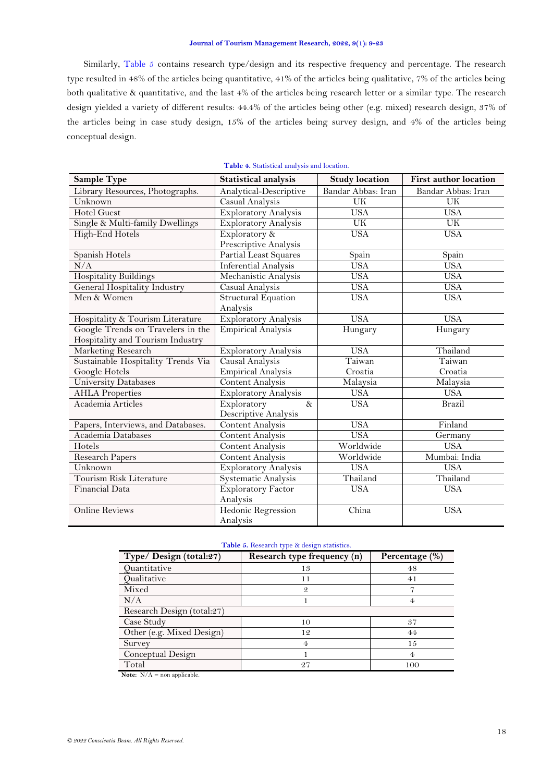Similarly, [Table 5](#page-9-1) contains research type/design and its respective frequency and percentage. The research type resulted in 48% of the articles being quantitative, 41% of the articles being qualitative, 7% of the articles being both qualitative & quantitative, and the last 4% of the articles being research letter or a similar type. The research design yielded a variety of different results: 44.4% of the articles being other (e.g. mixed) research design, 37% of the articles being in case study design, 15% of the articles being survey design, and 4% of the articles being conceptual design.

<span id="page-9-0"></span>

| Sample Type                        | <b>Statistical analysis</b>  | <b>Study location</b> | <b>First author location</b> |
|------------------------------------|------------------------------|-----------------------|------------------------------|
| Library Resources, Photographs.    | Analytical-Descriptive       | Bandar Abbas: Iran    | Bandar Abbas: Iran           |
| Unknown                            | Casual Analysis              | UK                    | UK                           |
| <b>Hotel Guest</b>                 | <b>Exploratory Analysis</b>  | <b>USA</b>            | <b>USA</b>                   |
| Single & Multi-family Dwellings    | <b>Exploratory Analysis</b>  | UK                    | UK                           |
| High-End Hotels                    | Exploratory &                | <b>USA</b>            | <b>USA</b>                   |
|                                    | Prescriptive Analysis        |                       |                              |
| Spanish Hotels                     | <b>Partial Least Squares</b> | Spain                 | $\overline{\text{S}}$ pain   |
| N/A                                | <b>Inferential Analysis</b>  | <b>USA</b>            | <b>USA</b>                   |
| <b>Hospitality Buildings</b>       | Mechanistic Analysis         | <b>USA</b>            | <b>USA</b>                   |
| General Hospitality Industry       | Casual Analysis              | <b>USA</b>            | <b>USA</b>                   |
| Men & Women                        | Structural Equation          | <b>USA</b>            | <b>USA</b>                   |
|                                    | Analysis                     |                       |                              |
| Hospitality & Tourism Literature   | <b>Exploratory Analysis</b>  | <b>USA</b>            | <b>USA</b>                   |
| Google Trends on Travelers in the  | <b>Empirical Analysis</b>    | Hungary               | Hungary                      |
| Hospitality and Tourism Industry   |                              |                       |                              |
| <b>Marketing Research</b>          | <b>Exploratory Analysis</b>  | <b>USA</b>            | Thailand                     |
| Sustainable Hospitality Trends Via | Causal Analysis              | Taiwan                | Taiwan                       |
| Google Hotels                      | <b>Empirical Analysis</b>    | Croatia               | Croatia                      |
| <b>University Databases</b>        | <b>Content Analysis</b>      | Malaysia              | Malaysia                     |
| <b>AHLA</b> Properties             | <b>Exploratory Analysis</b>  | <b>USA</b>            | <b>USA</b>                   |
| Academia Articles                  | Exploratory<br>$\&$          | <b>USA</b>            | <b>Brazil</b>                |
|                                    | Descriptive Analysis         |                       |                              |
| Papers, Interviews, and Databases. | <b>Content Analysis</b>      | <b>USA</b>            | Finland                      |
| <b>Academia Databases</b>          | Content Analysis             | <b>USA</b>            | Germany                      |
| Hotels                             | <b>Content Analysis</b>      | Worldwide             | <b>USA</b>                   |
| Research Papers                    | Content Analysis             | Worldwide             | Mumbai: India                |
| Unknown                            | <b>Exploratory Analysis</b>  | <b>USA</b>            | <b>USA</b>                   |
| Tourism Risk Literature            | Systematic Analysis          | Thailand              | Thailand                     |
| Financial Data                     | <b>Exploratory Factor</b>    | <b>USA</b>            | <b>USA</b>                   |
|                                    | Analysis                     |                       |                              |
| Online Reviews                     | Hedonic Regression           | China                 | <b>USA</b>                   |
|                                    | Analysis                     |                       |                              |

## **Table 4.** Statistical analysis and location.

### **Table 5.** Research type & design statistics.

<span id="page-9-1"></span>

| Type/ Design (total:27)    | Research type frequency (n) | Percentage (%) |
|----------------------------|-----------------------------|----------------|
| Quantitative               | 13                          | 48             |
| Qualitative                | 11                          | 41             |
| Mixed                      | $\mathcal{Q}$               |                |
| N/A                        |                             |                |
| Research Design (total:27) |                             |                |
| Case Study                 | 10                          | 37             |
| Other (e.g. Mixed Design)  | 12                          | 44             |
| Survey                     |                             | 15             |
| Conceptual Design          |                             | 4              |
| Total                      | 97                          | 100            |

**Note:** N/A = non applicable.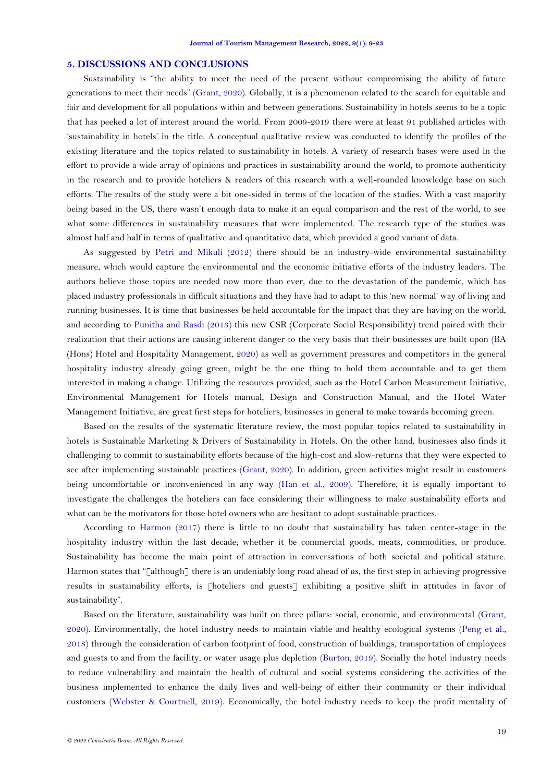### **5. DISCUSSIONS AND CONCLUSIONS**

Sustainability is "the ability to meet the need of the present without compromising the ability of future generations to meet their needs" [\(Grant, 2020\)](#page-13-0). Globally, it is a phenomenon related to the search for equitable and fair and development for all populations within and between generations. Sustainability in hotels seems to be a topic that has peeked a lot of interest around the world. From 2009-2019 there were at least 91 published articles with 'sustainability in hotels' in the title. A conceptual qualitative review was conducted to identify the profiles of the existing literature and the topics related to sustainability in hotels. A variety of research bases were used in the effort to provide a wide array of opinions and practices in sustainability around the world, to promote authenticity in the research and to provide hoteliers & readers of this research with a well-rounded knowledge base on such efforts. The results of the study were a bit one-sided in terms of the location of the studies. With a vast majority being based in the US, there wasn't enough data to make it an equal comparison and the rest of the world, to see what some differences in sustainability measures that were implemented. The research type of the studies was almost half and half in terms of qualitative and quantitative data, which provided a good variant of data.

As suggested by [Petri and Mikuli \(2012\)](#page-13-2) there should be an industry-wide environmental sustainability measure, which would capture the environmental and the economic initiative efforts of the industry leaders. The authors believe those topics are needed now more than ever, due to the devastation of the pandemic, which has placed industry professionals in difficult situations and they have had to adapt to this 'new normal' way of living and running businesses. It is time that businesses be held accountable for the impact that they are having on the world, and according to [Punitha and Rasdi](#page-13-5) (2013) this new CSR (Corporate Social Responsibility) trend paired with their realization that their actions are causing inherent danger to the very basis that their businesses are built upon [\(BA](#page-12-1)  [\(Hons\) Hotel and Hospitality Management,](#page-12-1) 2020) as well as government pressures and competitors in the general hospitality industry already going green, might be the one thing to hold them accountable and to get them interested in making a change. Utilizing the resources provided, such as the Hotel Carbon Measurement Initiative, Environmental Management for Hotels manual, Design and Construction Manual, and the Hotel Water Management Initiative, are great first steps for hoteliers, businesses in general to make towards becoming green.

Based on the results of the systematic literature review, the most popular topics related to sustainability in hotels is Sustainable Marketing & Drivers of Sustainability in Hotels. On the other hand, businesses also finds it challenging to commit to sustainability efforts because of the high-cost and slow-returns that they were expected to see after implementing sustainable practices [\(Grant, 2020\)](#page-13-0). In addition, green activities might result in customers being uncomfortable or inconvenienced in any way [\(Han et al., 2009\)](#page-13-14). Therefore, it is equally important to investigate the challenges the hoteliers can face considering their willingness to make sustainability efforts and what can be the motivators for those hotel owners who are hesitant to adopt sustainable practices.

According to [Harmon \(2017\)](#page-13-19) there is little to no doubt that sustainability has taken center-stage in the hospitality industry within the last decade; whether it be commercial goods, meats, commodities, or produce. Sustainability has become the main point of attraction in conversations of both societal and political stature. Harmon states that "[although] there is an undeniably long road ahead of us, the first step in achieving progressive results in sustainability efforts, is [hoteliers and guests] exhibiting a positive shift in attitudes in favor of sustainability".

Based on the literature, sustainability was built on three pillars: social, economic, and environmental [\(Grant,](#page-13-0)  [2020\)](#page-13-0). Environmentally, the hotel industry needs to maintain viable and healthy ecological systems [\(Peng et al.,](#page-13-7)  [2018\)](#page-13-7) through the consideration of carbon footprint of food, construction of buildings, transportation of employees and guests to and from the facility, or water usage plus depletion [\(Burton, 2019\)](#page-13-8). Socially the hotel industry needs to reduce vulnerability and maintain the health of cultural and social systems considering the activities of the business implemented to enhance the daily lives and well-being of either their community or their individual customers [\(Webster & Courtnell, 2019\)](#page-14-5). Economically, the hotel industry needs to keep the profit mentality of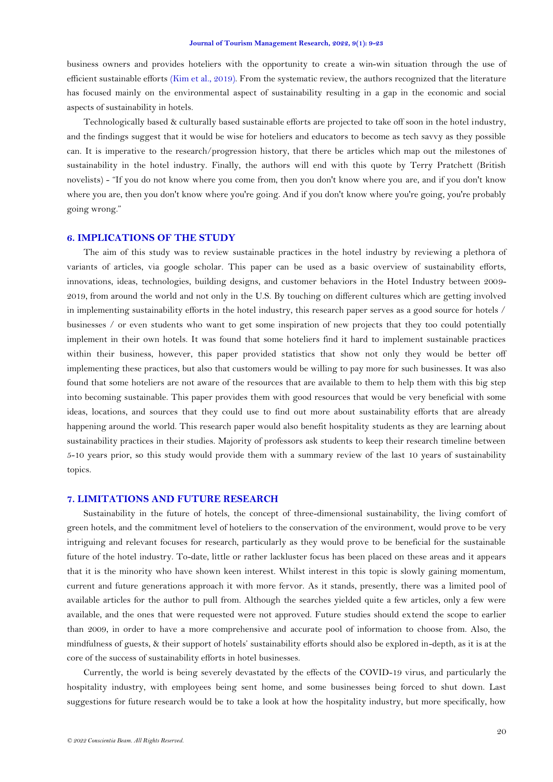business owners and provides hoteliers with the opportunity to create a win-win situation through the use of efficient sustainable efforts [\(Kim et al., 2019\)](#page-13-9). From the systematic review, the authors recognized that the literature has focused mainly on the environmental aspect of sustainability resulting in a gap in the economic and social aspects of sustainability in hotels.

Technologically based & culturally based sustainable efforts are projected to take off soon in the hotel industry, and the findings suggest that it would be wise for hoteliers and educators to become as tech savvy as they possible can. It is imperative to the research/progression history, that there be articles which map out the milestones of sustainability in the hotel industry. Finally, the authors will end with this quote by Terry Pratchett (British novelists) - "If you do not know where you come from, then you don't know where you are, and if you don't know where you are, then you don't know where you're going. And if you don't know where you're going, you're probably going wrong."

# **6. IMPLICATIONS OF THE STUDY**

The aim of this study was to review sustainable practices in the hotel industry by reviewing a plethora of variants of articles, via google scholar. This paper can be used as a basic overview of sustainability efforts, innovations, ideas, technologies, building designs, and customer behaviors in the Hotel Industry between 2009- 2019, from around the world and not only in the U.S. By touching on different cultures which are getting involved in implementing sustainability efforts in the hotel industry, this research paper serves as a good source for hotels / businesses / or even students who want to get some inspiration of new projects that they too could potentially implement in their own hotels. It was found that some hoteliers find it hard to implement sustainable practices within their business, however, this paper provided statistics that show not only they would be better off implementing these practices, but also that customers would be willing to pay more for such businesses. It was also found that some hoteliers are not aware of the resources that are available to them to help them with this big step into becoming sustainable. This paper provides them with good resources that would be very beneficial with some ideas, locations, and sources that they could use to find out more about sustainability efforts that are already happening around the world. This research paper would also benefit hospitality students as they are learning about sustainability practices in their studies. Majority of professors ask students to keep their research timeline between 5-10 years prior, so this study would provide them with a summary review of the last 10 years of sustainability topics.

## **7. LIMITATIONS AND FUTURE RESEARCH**

Sustainability in the future of hotels, the concept of three-dimensional sustainability, the living comfort of green hotels, and the commitment level of hoteliers to the conservation of the environment, would prove to be very intriguing and relevant focuses for research, particularly as they would prove to be beneficial for the sustainable future of the hotel industry. To-date, little or rather lackluster focus has been placed on these areas and it appears that it is the minority who have shown keen interest. Whilst interest in this topic is slowly gaining momentum, current and future generations approach it with more fervor. As it stands, presently, there was a limited pool of available articles for the author to pull from. Although the searches yielded quite a few articles, only a few were available, and the ones that were requested were not approved. Future studies should extend the scope to earlier than 2009, in order to have a more comprehensive and accurate pool of information to choose from. Also, the mindfulness of guests, & their support of hotels' sustainability efforts should also be explored in-depth, as it is at the core of the success of sustainability efforts in hotel businesses.

Currently, the world is being severely devastated by the effects of the COVID-19 virus, and particularly the hospitality industry, with employees being sent home, and some businesses being forced to shut down. Last suggestions for future research would be to take a look at how the hospitality industry, but more specifically, how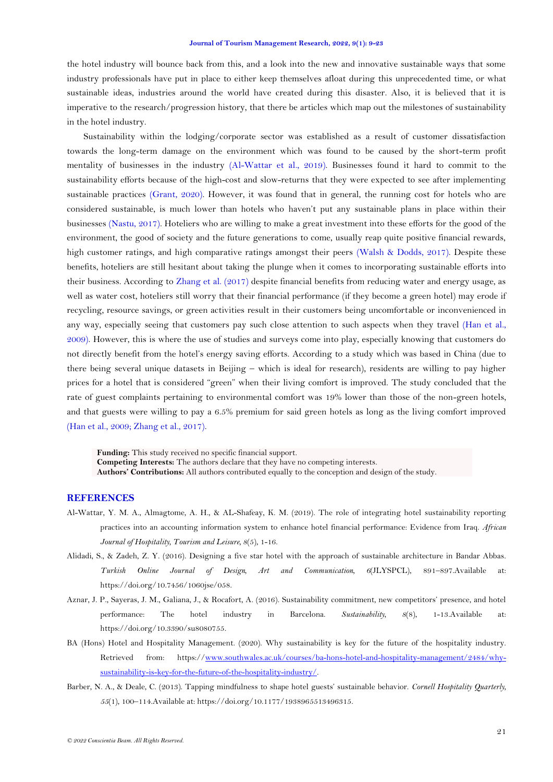the hotel industry will bounce back from this, and a look into the new and innovative sustainable ways that some industry professionals have put in place to either keep themselves afloat during this unprecedented time, or what sustainable ideas, industries around the world have created during this disaster. Also, it is believed that it is imperative to the research/progression history, that there be articles which map out the milestones of sustainability in the hotel industry.

Sustainability within the lodging/corporate sector was established as a result of customer dissatisfaction towards the long-term damage on the environment which was found to be caused by the short-term profit mentality of businesses in the industry [\(Al-Wattar et al., 2019\)](#page-12-2). Businesses found it hard to commit to the sustainability efforts because of the high-cost and slow-returns that they were expected to see after implementing sustainable practices [\(Grant, 2020\)](#page-13-0). However, it was found that in general, the running cost for hotels who are considered sustainable, is much lower than hotels who haven't put any sustainable plans in place within their businesses [\(Nastu, 2017\)](#page-13-12). Hoteliers who are willing to make a great investment into these efforts for the good of the environment, the good of society and the future generations to come, usually reap quite positive financial rewards, high customer ratings, and high comparative ratings amongst their peers [\(Walsh & Dodds, 2017\)](#page-14-4). Despite these benefits, hoteliers are still hesitant about taking the plunge when it comes to incorporating sustainable efforts into their business. According to Zhang [et al. \(2017\)](#page-14-8) despite financial benefits from reducing water and energy usage, as well as water cost, hoteliers still worry that their financial performance (if they become a green hotel) may erode if recycling, resource savings, or green activities result in their customers being uncomfortable or inconvenienced in any way, especially seeing that customers pay such close attention to such aspects when they travel [\(Han et al.,](#page-13-14)  [2009\)](#page-13-14). However, this is where the use of studies and surveys come into play, especially knowing that customers do not directly benefit from the hotel's energy saving efforts. According to a study which was based in China (due to there being several unique datasets in Beijing – which is ideal for research), residents are willing to pay higher prices for a hotel that is considered "green" when their living comfort is improved. The study concluded that the rate of guest complaints pertaining to environmental comfort was 19% lower than those of the non-green hotels, and that guests were willing to pay a 6.5% premium for said green hotels as long as the living comfort improved [\(Han et al., 2009;](#page-13-14) Zhang [et al., 2017\)](#page-14-8).

**Funding:** This study received no specific financial support. **Competing Interests:** The authors declare that they have no competing interests. **Authors' Contributions:** All authors contributed equally to the conception and design of the study.

# **REFERENCES**

- <span id="page-12-2"></span>Al-Wattar, Y. M. A., Almagtome, A. H., & AL-Shafeay, K. M. (2019). The role of integrating hotel sustainability reporting practices into an accounting information system to enhance hotel financial performance: Evidence from Iraq. *African Journal of Hospitality, Tourism and Leisure, 8*(5), 1-16.
- <span id="page-12-3"></span>Alidadi, S., & Zadeh, Z. Y. (2016). Designing a five star hotel with the approach of sustainable architecture in Bandar Abbas. *Turkish Online Journal of Design, Art and Communication, 6*(JLYSPCL), 891–897.Available at: https://doi.org/10.7456/1060jse/058.
- <span id="page-12-0"></span>Aznar, J. P., Sayeras, J. M., Galiana, J., & Rocafort, A. (2016). Sustainability commitment, new competitors' presence, and hotel performance: The hotel industry in Barcelona. *Sustainability, 8*(8), 1-13.Available at: https://doi.org/10.3390/su8080755.
- <span id="page-12-1"></span>BA (Hons) Hotel and Hospitality Management. (2020). Why sustainability is key for the future of the hospitality industry. Retrieved from: https:/[/www.southwales.ac.uk/courses/ba-hons-hotel-and-hospitality-management/2484/why](http://www.southwales.ac.uk/courses/ba-hons-hotel-and-hospitality-management/2484/why-sustainability-is-key-for-the-future-of-the-hospitality-industry/)[sustainability-is-key-for-the-future-of-the-hospitality-industry/.](http://www.southwales.ac.uk/courses/ba-hons-hotel-and-hospitality-management/2484/why-sustainability-is-key-for-the-future-of-the-hospitality-industry/)
- <span id="page-12-4"></span>Barber, N. A., & Deale, C. (2013). Tapping mindfulness to shape hotel guests' sustainable behavior. *Cornell Hospitality Quarterly, 55*(1), 100–114.Available at: https://doi.org/10.1177/1938965513496315.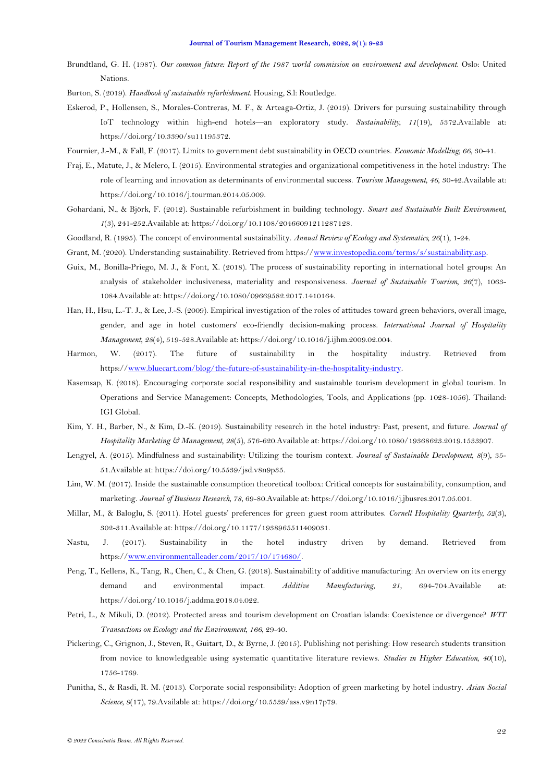- <span id="page-13-3"></span>Brundtland, G. H. (1987). *Our common future: Report of the 1987 world commission on environment and development*. Oslo: United Nations.
- <span id="page-13-8"></span>Burton, S. (2019). *Handbook of sustainable refurbishment*. Housing, S.l: Routledge.
- <span id="page-13-15"></span>Eskerod, P., Hollensen, S., Morales-Contreras, M. F., & Arteaga-Ortiz, J. (2019). Drivers for pursuing sustainability through IoT technology within high-end hotels—an exploratory study. *Sustainability, 11*(19), 5372.Available at: https://doi.org/10.3390/su11195372.
- <span id="page-13-6"></span>Fournier, J.-M., & Fall, F. (2017). Limits to government debt sustainability in OECD countries. *Economic Modelling, 66*, 30-41.
- <span id="page-13-17"></span>Fraj, E., Matute, J., & Melero, I. (2015). Environmental strategies and organizational competitiveness in the hotel industry: The role of learning and innovation as determinants of environmental success. *Tourism Management, 46*, 30-42.Available at: https://doi.org/10.1016/j.tourman.2014.05.009.
- <span id="page-13-18"></span>Gohardani, N., & Björk, F. (2012). Sustainable refurbishment in building technology. *Smart and Sustainable Built Environment, 1*(3), 241-252.Available at: https://doi.org/10.1108/20466091211287128.
- <span id="page-13-4"></span>Goodland, R. (1995). The concept of environmental sustainability. *Annual Review of Ecology and Systematics, 26*(1), 1-24.
- <span id="page-13-0"></span>Grant, M. (2020). Understanding sustainability. Retrieved from https:/[/www.investopedia.com/terms/s/sustainability.asp.](http://www.investopedia.com/terms/s/sustainability.asp)
- <span id="page-13-13"></span>Guix, M., Bonilla-Priego, M. J., & Font, X. (2018). The process of sustainability reporting in international hotel groups: An analysis of stakeholder inclusiveness, materiality and responsiveness. *Journal of Sustainable Tourism, 26*(7), 1063- 1084.Available at: https://doi.org/10.1080/09669582.2017.1410164.
- <span id="page-13-14"></span>Han, H., Hsu, L.-T. J., & Lee, J.-S. (2009). Empirical investigation of the roles of attitudes toward green behaviors, overall image, gender, and age in hotel customers' eco-friendly decision-making process. *International Journal of Hospitality Management, 28*(4), 519-528.Available at: https://doi.org/10.1016/j.ijhm.2009.02.004.
- <span id="page-13-19"></span>Harmon, W. (2017). The future of sustainability in the hospitality industry. Retrieved from https:/[/www.bluecart.com/blog/the-future-of-sustainability-in-the-hospitality-industry.](http://www.bluecart.com/blog/the-future-of-sustainability-in-the-hospitality-industry)
- <span id="page-13-10"></span>Kasemsap, K. (2018). Encouraging corporate social responsibility and sustainable tourism development in global tourism. In Operations and Service Management: Concepts, Methodologies, Tools, and Applications (pp. 1028-1056). Thailand: IGI Global.
- <span id="page-13-9"></span>Kim, Y. H., Barber, N., & Kim, D.-K. (2019). Sustainability research in the hotel industry: Past, present, and future. *Journal of Hospitality Marketing & Management, 28*(5), 576-620.Available at: https://doi.org/10.1080/19368623.2019.1533907.
- <span id="page-13-20"></span>Lengyel, A. (2015). Mindfulness and sustainability: Utilizing the tourism context. *Journal of Sustainable Development, 8*(9), 35- 51.Available at: https://doi.org/10.5539/jsd.v8n9p35.
- <span id="page-13-11"></span>Lim, W. M. (2017). Inside the sustainable consumption theoretical toolbox: Critical concepts for sustainability, consumption, and marketing. *Journal of Business Research, 78*, 69-80.Available at: https://doi.org/10.1016/j.jbusres.2017.05.001.
- <span id="page-13-1"></span>Millar, M., & Baloglu, S. (2011). Hotel guests' preferences for green guest room attributes. *Cornell Hospitality Quarterly, 52*(3), 302-311.Available at: https://doi.org/10.1177/1938965511409031.
- <span id="page-13-12"></span>Nastu, J. (2017). Sustainability in the hotel industry driven by demand. Retrieved from https:/[/www.environmentalleader.com/2017/10/174680/.](http://www.environmentalleader.com/2017/10/174680/)
- <span id="page-13-7"></span>Peng, T., Kellens, K., Tang, R., Chen, C., & Chen, G. (2018). Sustainability of additive manufacturing: An overview on its energy demand and environmental impact. *Additive Manufacturing, 21*, 694-704.Available at: https://doi.org/10.1016/j.addma.2018.04.022.
- <span id="page-13-2"></span>Petri, L., & Mikuli, D. (2012). Protected areas and tourism development on Croatian islands: Coexistence or divergence? *WIT Transactions on Ecology and the Environment, 166*, 29-40.
- <span id="page-13-16"></span>Pickering, C., Grignon, J., Steven, R., Guitart, D., & Byrne, J. (2015). Publishing not perishing: How research students transition from novice to knowledgeable using systematic quantitative literature reviews. *Studies in Higher Education, 40*(10), 1756-1769.
- <span id="page-13-5"></span>Punitha, S., & Rasdi, R. M. (2013). Corporate social responsibility: Adoption of green marketing by hotel industry. *Asian Social Science, 9*(17), 79.Available at: https://doi.org/10.5539/ass.v9n17p79.